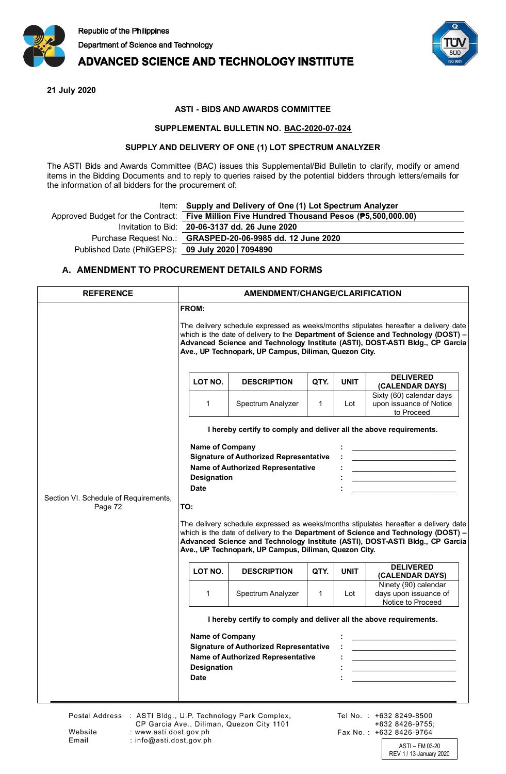

## **ADVANCED SCIENCE AND TECHNOLOGY INSTITUTE**

**21 July 2020**

## **ASTI - BIDS AND AWARDS COMMITTEE**

### **SUPPLEMENTAL BULLETIN NO. BAC-2020-07-024**

#### **SUPPLY AND DELIVERY OF ONE (1) LOT SPECTRUM ANALYZER**

The ASTI Bids and Awards Committee (BAC) issues this Supplemental/Bid Bulletin to clarify, modify or amend items in the Bidding Documents and to reply to queries raised by the potential bidders through letters/emails for the information of all bidders for the procurement of:

|                                                   | Item: Supply and Delivery of One (1) Lot Spectrum Analyzer                                 |
|---------------------------------------------------|--------------------------------------------------------------------------------------------|
|                                                   | Approved Budget for the Contract: Five Million Five Hundred Thousand Pesos (P5,500,000.00) |
|                                                   | Invitation to Bid: 20-06-3137 dd. 26 June 2020                                             |
|                                                   | Purchase Request No.: GRASPED-20-06-9985 dd. 12 June 2020                                  |
| Published Date (PhilGEPS): 09 July 2020   7094890 |                                                                                            |
|                                                   |                                                                                            |

## **A. AMENDMENT TO PROCUREMENT DETAILS AND FORMS**

| <b>REFERENCE</b>                                 | AMENDMENT/CHANGE/CLARIFICATION                                                                                                                                                                                                                                                                                                                                                                                                                                                                                                                |                                                                                                                                                          |              |             |                                                                                                                        |  |  |
|--------------------------------------------------|-----------------------------------------------------------------------------------------------------------------------------------------------------------------------------------------------------------------------------------------------------------------------------------------------------------------------------------------------------------------------------------------------------------------------------------------------------------------------------------------------------------------------------------------------|----------------------------------------------------------------------------------------------------------------------------------------------------------|--------------|-------------|------------------------------------------------------------------------------------------------------------------------|--|--|
| Section VI. Schedule of Requirements,<br>Page 72 | FROM:<br>The delivery schedule expressed as weeks/months stipulates hereafter a delivery date<br>which is the date of delivery to the Department of Science and Technology (DOST) -<br>Advanced Science and Technology Institute (ASTI), DOST-ASTI Bldg., CP Garcia<br>Ave., UP Technopark, UP Campus, Diliman, Quezon City.                                                                                                                                                                                                                  |                                                                                                                                                          |              |             |                                                                                                                        |  |  |
|                                                  | LOT NO.                                                                                                                                                                                                                                                                                                                                                                                                                                                                                                                                       | <b>DESCRIPTION</b>                                                                                                                                       | QTY.         | <b>UNIT</b> | <b>DELIVERED</b><br>(CALENDAR DAYS)                                                                                    |  |  |
|                                                  | $\mathbf 1$                                                                                                                                                                                                                                                                                                                                                                                                                                                                                                                                   | Spectrum Analyzer                                                                                                                                        | $\mathbf{1}$ | Lot         | Sixty (60) calendar days<br>upon issuance of Notice<br>to Proceed                                                      |  |  |
|                                                  | I hereby certify to comply and deliver all the above requirements.                                                                                                                                                                                                                                                                                                                                                                                                                                                                            |                                                                                                                                                          |              |             |                                                                                                                        |  |  |
|                                                  | <b>Name of Company</b><br><b>Signature of Authorized Representative</b><br><u> 1989 - Johann Harry Harry Harry Harry Harry Harry Harry Harry Harry Harry Harry Harry Harry Harry Harry Harry</u><br>Name of Authorized Representative<br><u> 1989 - Johann Barbara, martin d</u><br><b>Designation</b><br><u> 1989 - Johann Barbara, martin amerikan basar dan berasal dalam basar dalam basar dalam basar dalam basar dala</u><br><b>Date</b><br>TO:<br>The delivery schedule expressed as weeks/months stipulates hereafter a delivery date |                                                                                                                                                          |              |             |                                                                                                                        |  |  |
|                                                  | which is the date of delivery to the Department of Science and Technology (DOST) -<br>Advanced Science and Technology Institute (ASTI), DOST-ASTI Bldg., CP Garcia<br>Ave., UP Technopark, UP Campus, Diliman, Quezon City.                                                                                                                                                                                                                                                                                                                   |                                                                                                                                                          |              |             |                                                                                                                        |  |  |
|                                                  | LOT NO.                                                                                                                                                                                                                                                                                                                                                                                                                                                                                                                                       | <b>DESCRIPTION</b>                                                                                                                                       | QTY.         | <b>UNIT</b> | <b>DELIVERED</b><br>(CALENDAR DAYS)                                                                                    |  |  |
|                                                  | 1                                                                                                                                                                                                                                                                                                                                                                                                                                                                                                                                             | Spectrum Analyzer                                                                                                                                        | $\mathbf{1}$ | Lot         | Ninety (90) calendar<br>days upon issuance of<br>Notice to Proceed                                                     |  |  |
|                                                  | <b>Name of Company</b><br><b>Designation</b><br><b>Date</b>                                                                                                                                                                                                                                                                                                                                                                                                                                                                                   | I hereby certify to comply and deliver all the above requirements.<br><b>Signature of Authorized Representative</b><br>Name of Authorized Representative |              |             | <u> 1989 - Johann Barn, mars and de Brasilian (b. 1989)</u><br><u> 1989 - Johann Barbara, martin amerikan basar da</u> |  |  |

ASTI – FM 03-20 REV 1 / 13 January 2020

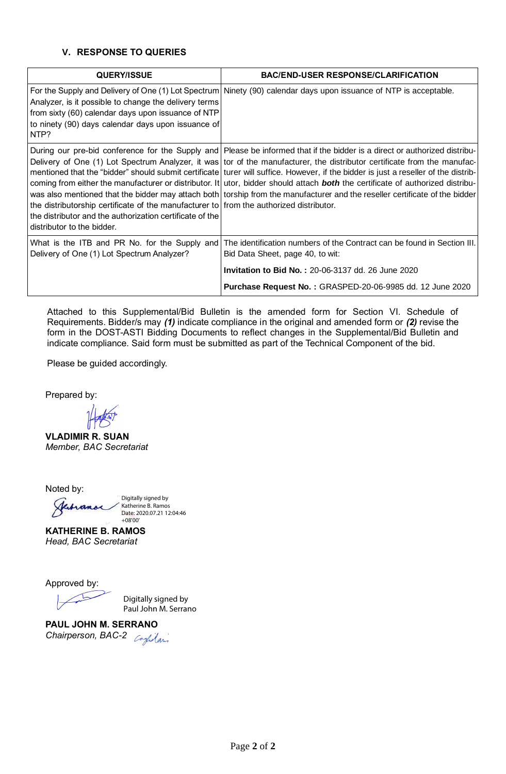## **V. RESPONSE TO QUERIES**

| <b>QUERY/ISSUE</b>                                                                                                                                                                | <b>BAC/END-USER RESPONSE/CLARIFICATION</b>                                                                                                                                                                                                                                                                                                                                                                                                                                                                                                                                                                                                                            |  |  |
|-----------------------------------------------------------------------------------------------------------------------------------------------------------------------------------|-----------------------------------------------------------------------------------------------------------------------------------------------------------------------------------------------------------------------------------------------------------------------------------------------------------------------------------------------------------------------------------------------------------------------------------------------------------------------------------------------------------------------------------------------------------------------------------------------------------------------------------------------------------------------|--|--|
| Analyzer, is it possible to change the delivery terms<br>from sixty (60) calendar days upon issuance of NTP<br>to ninety (90) days calendar days upon issuance of<br>NTP?         | For the Supply and Delivery of One (1) Lot Spectrum Ninety (90) calendar days upon issuance of NTP is acceptable.                                                                                                                                                                                                                                                                                                                                                                                                                                                                                                                                                     |  |  |
| the distributorship certificate of the manufacturer to from the authorized distributor.<br>the distributor and the authorization certificate of the<br>distributor to the bidder. | During our pre-bid conference for the Supply and Please be informed that if the bidder is a direct or authorized distribu-<br>Delivery of One (1) Lot Spectrum Analyzer, it was tor of the manufacturer, the distributor certificate from the manufac-<br>mentioned that the "bidder" should submit certificate turer will suffice. However, if the bidder is just a reseller of the distrib-<br>coming from either the manufacturer or distributor. It utor, bidder should attach <b>both</b> the certificate of authorized distribu-<br>was also mentioned that the bidder may attach both torship from the manufacturer and the reseller certificate of the bidder |  |  |
| What is the ITB and PR No. for the Supply and<br>Delivery of One (1) Lot Spectrum Analyzer?                                                                                       | The identification numbers of the Contract can be found in Section III.<br>Bid Data Sheet, page 40, to wit:                                                                                                                                                                                                                                                                                                                                                                                                                                                                                                                                                           |  |  |
|                                                                                                                                                                                   | <b>Invitation to Bid No.: 20-06-3137 dd. 26 June 2020</b>                                                                                                                                                                                                                                                                                                                                                                                                                                                                                                                                                                                                             |  |  |
|                                                                                                                                                                                   | Purchase Request No.: GRASPED-20-06-9985 dd. 12 June 2020                                                                                                                                                                                                                                                                                                                                                                                                                                                                                                                                                                                                             |  |  |

Attached to this Supplemental/Bid Bulletin is the amended form for Section VI. Schedule of Requirements. Bidder/s may *(1)* indicate compliance in the original and amended form or *(2)* revise the form in the DOST-ASTI Bidding Documents to reflect changes in the Supplemental/Bid Bulletin and indicate compliance. Said form must be submitted as part of the Technical Component of the bid.

Please be guided accordingly.

Prepared by:

**VLADIMIR R. SUAN** *Member, BAC Secretariat*

Noted by:



**KATHERINE B. RAMOS** *Head, BAC Secretariat*

Approved by:

Digitally signed by Paul John M. Serrano

**PAUL JOHN M. SERRANO** *Chairperson, BAC-2*